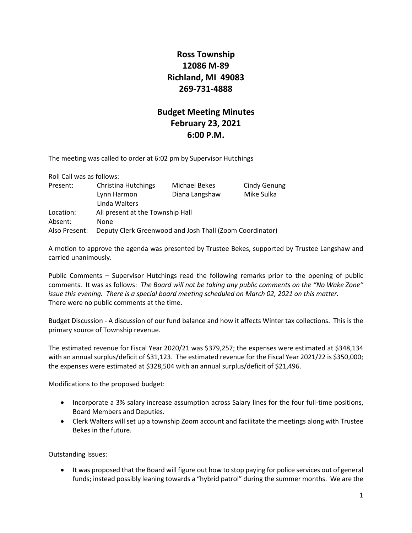## **Ross Township 12086 M-89 Richland, MI 49083 269-731-4888**

## **Budget Meeting Minutes February 23, 2021 6:00 P.M.**

The meeting was called to order at 6:02 pm by Supervisor Hutchings

| Roll Call was as follows: |                                                            |                                 |                            |
|---------------------------|------------------------------------------------------------|---------------------------------|----------------------------|
| Present:                  | <b>Christina Hutchings</b><br>Lynn Harmon<br>Linda Walters | Michael Bekes<br>Diana Langshaw | Cindy Genung<br>Mike Sulka |
| Location:                 | All present at the Township Hall                           |                                 |                            |
| Absent:                   | None                                                       |                                 |                            |
| Also Present:             | Deputy Clerk Greenwood and Josh Thall (Zoom Coordinator)   |                                 |                            |

A motion to approve the agenda was presented by Trustee Bekes, supported by Trustee Langshaw and carried unanimously.

Public Comments – Supervisor Hutchings read the following remarks prior to the opening of public comments. It was as follows: *The Board will not be taking any public comments on the "No Wake Zone" issue this evening. There is a special board meeting scheduled on March 02, 2021 on this matter.* There were no public comments at the time.

Budget Discussion - A discussion of our fund balance and how it affects Winter tax collections. This is the primary source of Township revenue.

The estimated revenue for Fiscal Year 2020/21 was \$379,257; the expenses were estimated at \$348,134 with an annual surplus/deficit of \$31,123. The estimated revenue for the Fiscal Year 2021/22 is \$350,000; the expenses were estimated at \$328,504 with an annual surplus/deficit of \$21,496.

Modifications to the proposed budget:

- Incorporate a 3% salary increase assumption across Salary lines for the four full-time positions, Board Members and Deputies.
- Clerk Walters will set up a township Zoom account and facilitate the meetings along with Trustee Bekes in the future.

Outstanding Issues:

• It was proposed that the Board will figure out how to stop paying for police services out of general funds; instead possibly leaning towards a "hybrid patrol" during the summer months. We are the